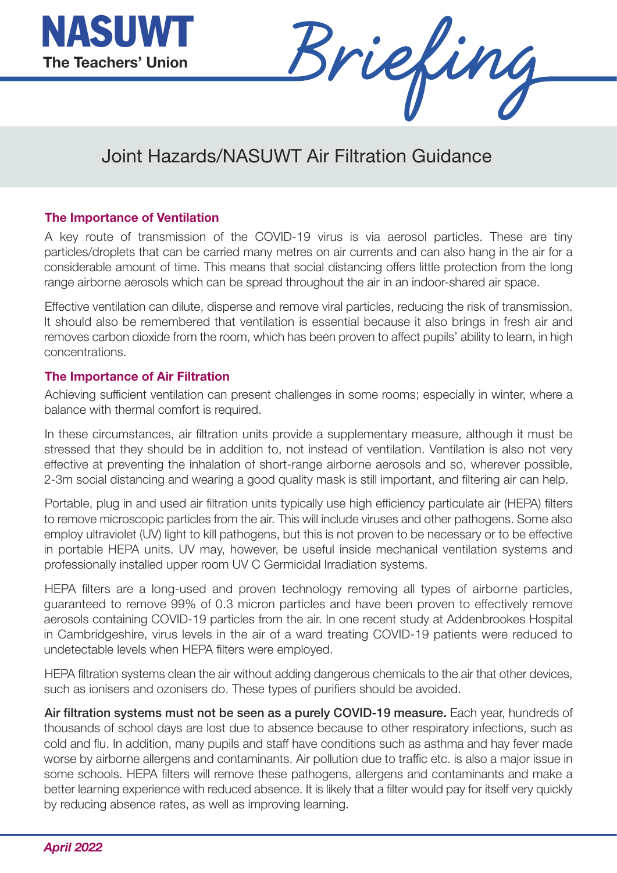



## Joint Hazards/NASUWT Air Filtration Guidance

## **The Importance of Ventilation**

A key route of transmission of the COVID-19 virus is via aerosol particles. These are tiny particles/droplets that can be carried many metres on air currents and can also hang in the air for a considerable amount of time. This means that social distancing offers little protection from the long range airborne aerosols which can be spread throughout the air in an indoor-shared air space.

Effective ventilation can dilute, disperse and remove viral particles, reducing the risk of transmission. It should also be remembered that ventilation is essential because it also brings in fresh air and removes carbon dioxide from the room, which has been proven to affect pupils' ability to learn, in high concentrations.

## **The Importance of Air Filtration**

Achieving sufficient ventilation can present challenges in some rooms; especially in winter, where a balance with thermal comfort is required.

In these circumstances, air filtration units provide a supplementary measure, although it must be stressed that they should be in addition to, not instead of ventilation. Ventilation is also not very effective at preventing the inhalation of short-range airborne aerosols and so, wherever possible, 2-3m social distancing and wearing a good quality mask is still important, and filtering air can help.

Portable, plug in and used air filtration units typically use high efficiency particulate air (HEPA) filters to remove microscopic particles from the air. This will include viruses and other pathogens. Some also employ ultraviolet (UV) light to kill pathogens, but this is not proven to be necessary or to be effective in portable HEPA units. UV may, however, be useful inside mechanical ventilation systems and professionally installed upper room UV C Germicidal Irradiation systems.

HEPA filters are a long-used and proven technology removing all types of airborne particles, guaranteed to remove 99% of 0.3 micron particles and have been proven to effectively remove aerosols containing COVID-19 particles from the air. In one recent study at Addenbrookes Hospital in Cambridgeshire, virus levels in the air of a ward treating COVID-19 patients were reduced to undetectable levels when HEPA filters were employed.

HEPA filtration systems clean the air without adding dangerous chemicals to the air that other devices, such as ionisers and ozonisers do. These types of purifiers should be avoided.

**Air filtration systems must not be seen as a purely COVID-19 measure.** Each year, hundreds of thousands of school days are lost due to absence because to other respiratory infections, such as cold and flu. In addition, many pupils and staff have conditions such as asthma and hay fever made worse by airborne allergens and contaminants. Air pollution due to traffic etc. is also a major issue in some schools. HEPA filters will remove these pathogens, allergens and contaminants and make a better learning experience with reduced absence. It is likely that a filter would pay for itself very quickly by reducing absence rates, as well as improving learning.